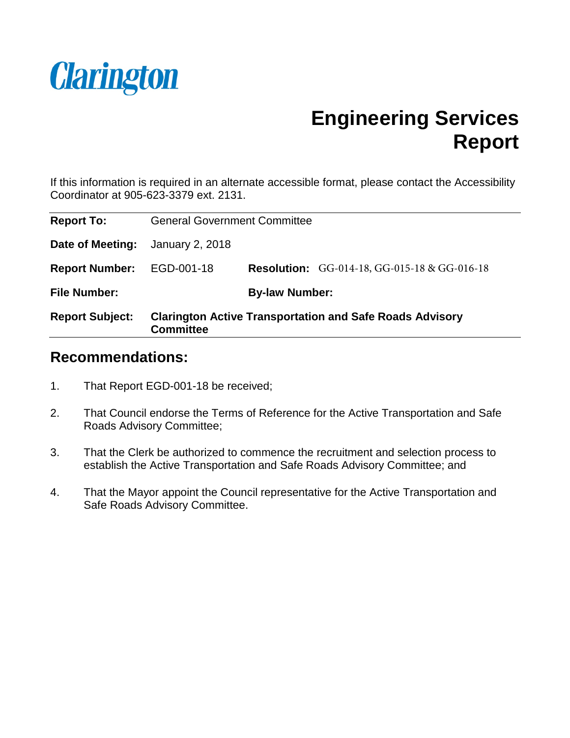

# **Engineering Services Report**

If this information is required in an alternate accessible format, please contact the Accessibility Coordinator at 905-623-3379 ext. 2131.

| <b>Report To:</b>      | <b>General Government Committee</b>                                                 |                       |                                                     |
|------------------------|-------------------------------------------------------------------------------------|-----------------------|-----------------------------------------------------|
| Date of Meeting:       | January 2, 2018                                                                     |                       |                                                     |
| <b>Report Number:</b>  | EGD-001-18                                                                          |                       | <b>Resolution:</b> GG-014-18, GG-015-18 & GG-016-18 |
| <b>File Number:</b>    |                                                                                     | <b>By-law Number:</b> |                                                     |
| <b>Report Subject:</b> | <b>Clarington Active Transportation and Safe Roads Advisory</b><br><b>Committee</b> |                       |                                                     |

#### **Recommendations:**

- 1. That Report EGD-001-18 be received;
- 2. That Council endorse the Terms of Reference for the Active Transportation and Safe Roads Advisory Committee;
- 3. That the Clerk be authorized to commence the recruitment and selection process to establish the Active Transportation and Safe Roads Advisory Committee; and
- 4. That the Mayor appoint the Council representative for the Active Transportation and Safe Roads Advisory Committee.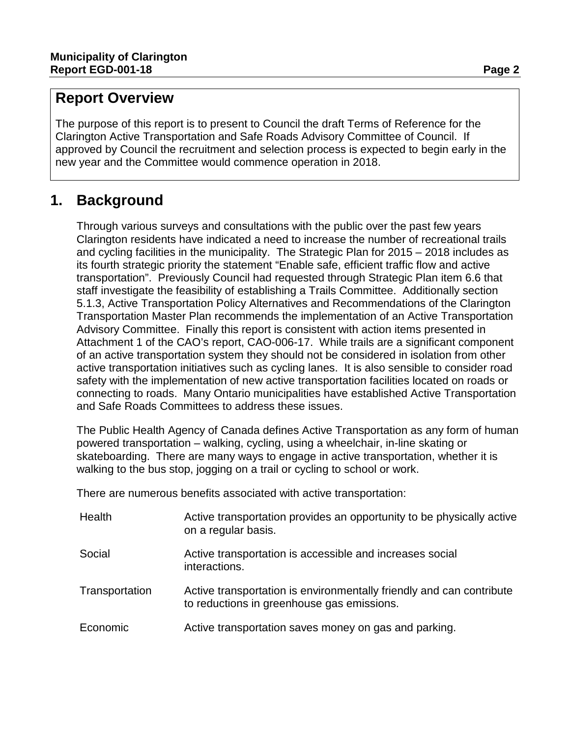## **Report Overview**

The purpose of this report is to present to Council the draft Terms of Reference for the Clarington Active Transportation and Safe Roads Advisory Committee of Council. If approved by Council the recruitment and selection process is expected to begin early in the new year and the Committee would commence operation in 2018.

# **1. Background**

Through various surveys and consultations with the public over the past few years Clarington residents have indicated a need to increase the number of recreational trails and cycling facilities in the municipality. The Strategic Plan for 2015 – 2018 includes as its fourth strategic priority the statement "Enable safe, efficient traffic flow and active transportation". Previously Council had requested through Strategic Plan item 6.6 that staff investigate the feasibility of establishing a Trails Committee. Additionally section 5.1.3, Active Transportation Policy Alternatives and Recommendations of the Clarington Transportation Master Plan recommends the implementation of an Active Transportation Advisory Committee. Finally this report is consistent with action items presented in Attachment 1 of the CAO's report, CAO-006-17. While trails are a significant component of an active transportation system they should not be considered in isolation from other active transportation initiatives such as cycling lanes. It is also sensible to consider road safety with the implementation of new active transportation facilities located on roads or connecting to roads. Many Ontario municipalities have established Active Transportation and Safe Roads Committees to address these issues.

The Public Health Agency of Canada defines Active Transportation as any form of human powered transportation – walking, cycling, using a wheelchair, in-line skating or skateboarding. There are many ways to engage in active transportation, whether it is walking to the bus stop, jogging on a trail or cycling to school or work.

There are numerous benefits associated with active transportation:

| Health         | Active transportation provides an opportunity to be physically active<br>on a regular basis.                       |  |
|----------------|--------------------------------------------------------------------------------------------------------------------|--|
| Social         | Active transportation is accessible and increases social<br>interactions.                                          |  |
| Transportation | Active transportation is environmentally friendly and can contribute<br>to reductions in greenhouse gas emissions. |  |
| Economic       | Active transportation saves money on gas and parking.                                                              |  |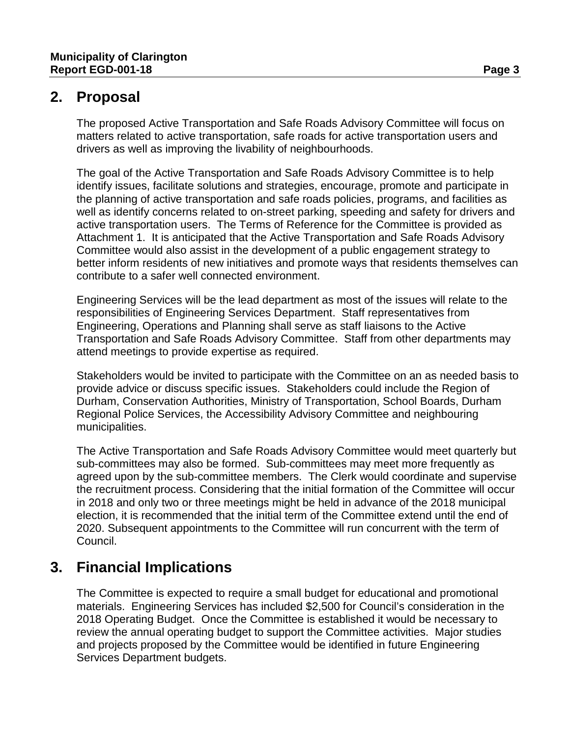## **2. Proposal**

The proposed Active Transportation and Safe Roads Advisory Committee will focus on matters related to active transportation, safe roads for active transportation users and drivers as well as improving the livability of neighbourhoods.

The goal of the Active Transportation and Safe Roads Advisory Committee is to help identify issues, facilitate solutions and strategies, encourage, promote and participate in the planning of active transportation and safe roads policies, programs, and facilities as well as identify concerns related to on-street parking, speeding and safety for drivers and active transportation users. The Terms of Reference for the Committee is provided as Attachment 1. It is anticipated that the Active Transportation and Safe Roads Advisory Committee would also assist in the development of a public engagement strategy to better inform residents of new initiatives and promote ways that residents themselves can contribute to a safer well connected environment.

Engineering Services will be the lead department as most of the issues will relate to the responsibilities of Engineering Services Department. Staff representatives from Engineering, Operations and Planning shall serve as staff liaisons to the Active Transportation and Safe Roads Advisory Committee. Staff from other departments may attend meetings to provide expertise as required.

Stakeholders would be invited to participate with the Committee on an as needed basis to provide advice or discuss specific issues. Stakeholders could include the Region of Durham, Conservation Authorities, Ministry of Transportation, School Boards, Durham Regional Police Services, the Accessibility Advisory Committee and neighbouring municipalities.

The Active Transportation and Safe Roads Advisory Committee would meet quarterly but sub-committees may also be formed. Sub-committees may meet more frequently as agreed upon by the sub-committee members. The Clerk would coordinate and supervise the recruitment process. Considering that the initial formation of the Committee will occur in 2018 and only two or three meetings might be held in advance of the 2018 municipal election, it is recommended that the initial term of the Committee extend until the end of 2020. Subsequent appointments to the Committee will run concurrent with the term of Council.

## **3. Financial Implications**

The Committee is expected to require a small budget for educational and promotional materials. Engineering Services has included \$2,500 for Council's consideration in the 2018 Operating Budget. Once the Committee is established it would be necessary to review the annual operating budget to support the Committee activities. Major studies and projects proposed by the Committee would be identified in future Engineering Services Department budgets.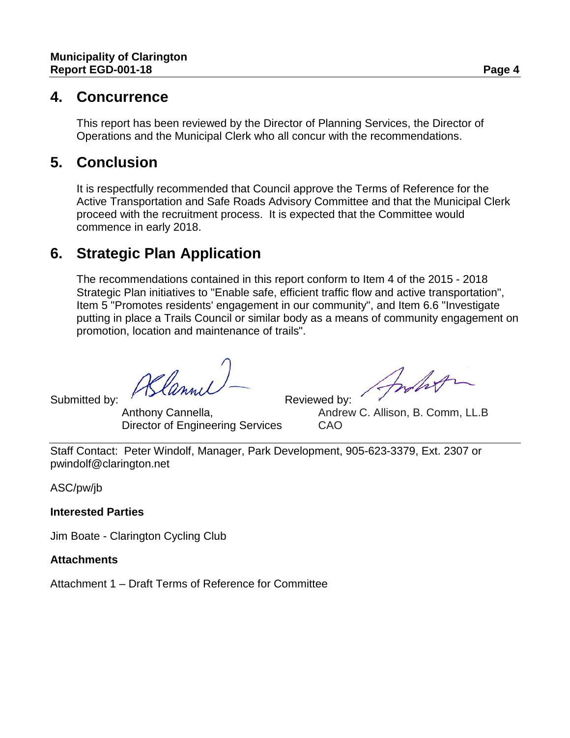#### **4. Concurrence**

This report has been reviewed by the Director of Planning Services, the Director of Operations and the Municipal Clerk who all concur with the recommendations.

## **5. Conclusion**

It is respectfully recommended that Council approve the Terms of Reference for the Active Transportation and Safe Roads Advisory Committee and that the Municipal Clerk proceed with the recruitment process. It is expected that the Committee would commence in early 2018.

## **6. Strategic Plan Application**

The recommendations contained in this report conform to Item 4 of the 2015 - 2018 Strategic Plan initiatives to "Enable safe, efficient traffic flow and active transportation", Item 5 "Promotes residents' engagement in our community", and Item 6.6 "Investigate putting in place a Trails Council or similar body as a means of community engagement on promotion, location and maintenance of trails".

Submitted by: As lannul — Reviewed by:<br>Anthony Cannella, Andrey

Director of Engineering Services CAO

Inhot

Andrew C. Allison, B. Comm, LL.B.

Staff Contact: Peter Windolf, Manager, Park Development, 905-623-3379, Ext. 2307 or pwindolf@clarington.net

ASC/pw/jb

**Interested Parties**

Jim Boate - Clarington Cycling Club

**Attachments**

Attachment 1 – Draft Terms of Reference for Committee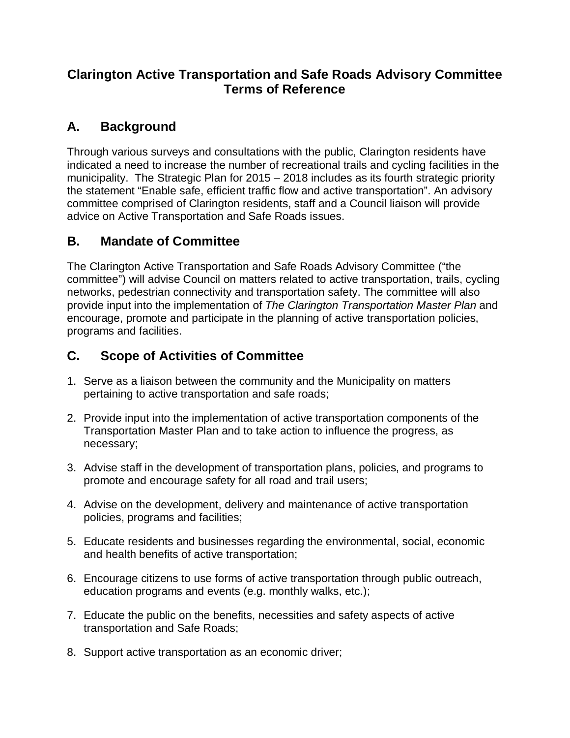#### **Clarington Active Transportation and Safe Roads Advisory Committee Terms of Reference**

## **A. Background**

Through various surveys and consultations with the public, Clarington residents have indicated a need to increase the number of recreational trails and cycling facilities in the municipality. The Strategic Plan for 2015 – 2018 includes as its fourth strategic priority the statement "Enable safe, efficient traffic flow and active transportation". An advisory committee comprised of Clarington residents, staff and a Council liaison will provide advice on Active Transportation and Safe Roads issues.

## **B. Mandate of Committee**

The Clarington Active Transportation and Safe Roads Advisory Committee ("the committee") will advise Council on matters related to active transportation, trails, cycling networks, pedestrian connectivity and transportation safety. The committee will also provide input into the implementation of *The Clarington Transportation Master Plan* and encourage, promote and participate in the planning of active transportation policies, programs and facilities.

## **C. Scope of Activities of Committee**

- 1. Serve as a liaison between the community and the Municipality on matters pertaining to active transportation and safe roads;
- 2. Provide input into the implementation of active transportation components of the Transportation Master Plan and to take action to influence the progress, as necessary;
- 3. Advise staff in the development of transportation plans, policies, and programs to promote and encourage safety for all road and trail users;
- 4. Advise on the development, delivery and maintenance of active transportation policies, programs and facilities;
- 5. Educate residents and businesses regarding the environmental, social, economic and health benefits of active transportation;
- 6. Encourage citizens to use forms of active transportation through public outreach, education programs and events (e.g. monthly walks, etc.);
- 7. Educate the public on the benefits, necessities and safety aspects of active transportation and Safe Roads;
- 8. Support active transportation as an economic driver;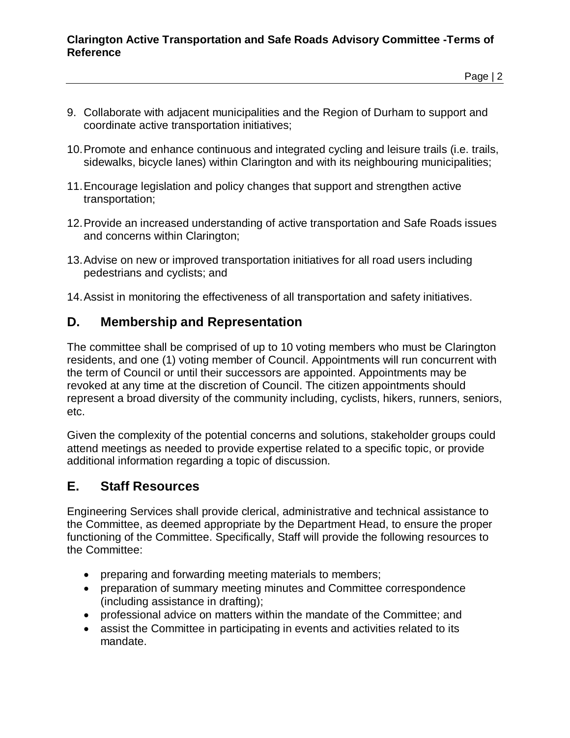#### **Clarington Active Transportation and Safe Roads Advisory Committee -Terms of Reference**

Page | 2

- 9. Collaborate with adjacent municipalities and the Region of Durham to support and coordinate active transportation initiatives;
- 10.Promote and enhance continuous and integrated cycling and leisure trails (i.e. trails, sidewalks, bicycle lanes) within Clarington and with its neighbouring municipalities;
- 11.Encourage legislation and policy changes that support and strengthen active transportation;
- 12.Provide an increased understanding of active transportation and Safe Roads issues and concerns within Clarington;
- 13.Advise on new or improved transportation initiatives for all road users including pedestrians and cyclists; and
- 14.Assist in monitoring the effectiveness of all transportation and safety initiatives.

#### **D. Membership and Representation**

The committee shall be comprised of up to 10 voting members who must be Clarington residents, and one (1) voting member of Council. Appointments will run concurrent with the term of Council or until their successors are appointed. Appointments may be revoked at any time at the discretion of Council. The citizen appointments should represent a broad diversity of the community including, cyclists, hikers, runners, seniors, etc.

Given the complexity of the potential concerns and solutions, stakeholder groups could attend meetings as needed to provide expertise related to a specific topic, or provide additional information regarding a topic of discussion.

#### **E. Staff Resources**

Engineering Services shall provide clerical, administrative and technical assistance to the Committee, as deemed appropriate by the Department Head, to ensure the proper functioning of the Committee. Specifically, Staff will provide the following resources to the Committee:

- preparing and forwarding meeting materials to members;
- preparation of summary meeting minutes and Committee correspondence (including assistance in drafting);
- professional advice on matters within the mandate of the Committee; and
- assist the Committee in participating in events and activities related to its mandate.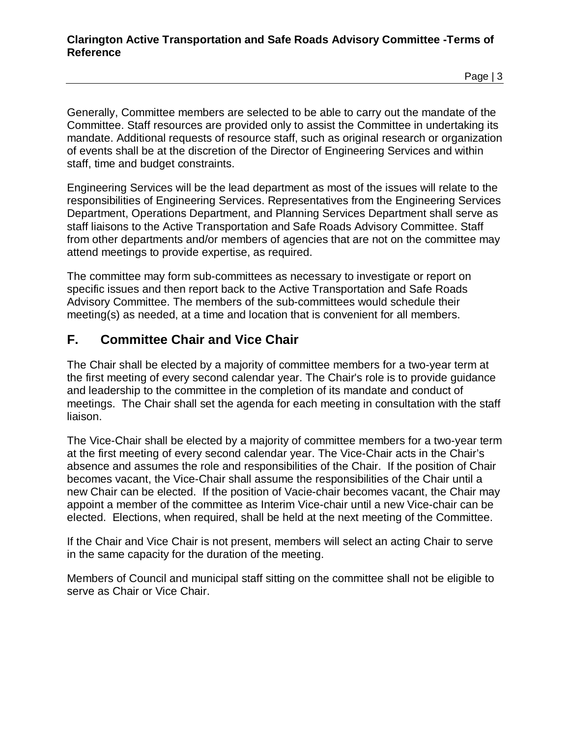Page | 3

Generally, Committee members are selected to be able to carry out the mandate of the Committee. Staff resources are provided only to assist the Committee in undertaking its mandate. Additional requests of resource staff, such as original research or organization of events shall be at the discretion of the Director of Engineering Services and within staff, time and budget constraints.

Engineering Services will be the lead department as most of the issues will relate to the responsibilities of Engineering Services. Representatives from the Engineering Services Department, Operations Department, and Planning Services Department shall serve as staff liaisons to the Active Transportation and Safe Roads Advisory Committee. Staff from other departments and/or members of agencies that are not on the committee may attend meetings to provide expertise, as required.

The committee may form sub-committees as necessary to investigate or report on specific issues and then report back to the Active Transportation and Safe Roads Advisory Committee. The members of the sub-committees would schedule their meeting(s) as needed, at a time and location that is convenient for all members.

#### **F. Committee Chair and Vice Chair**

The Chair shall be elected by a majority of committee members for a two-year term at the first meeting of every second calendar year. The Chair's role is to provide guidance and leadership to the committee in the completion of its mandate and conduct of meetings. The Chair shall set the agenda for each meeting in consultation with the staff liaison.

The Vice-Chair shall be elected by a majority of committee members for a two-year term at the first meeting of every second calendar year. The Vice-Chair acts in the Chair's absence and assumes the role and responsibilities of the Chair. If the position of Chair becomes vacant, the Vice-Chair shall assume the responsibilities of the Chair until a new Chair can be elected. If the position of Vacie-chair becomes vacant, the Chair may appoint a member of the committee as Interim Vice-chair until a new Vice-chair can be elected. Elections, when required, shall be held at the next meeting of the Committee.

If the Chair and Vice Chair is not present, members will select an acting Chair to serve in the same capacity for the duration of the meeting.

Members of Council and municipal staff sitting on the committee shall not be eligible to serve as Chair or Vice Chair.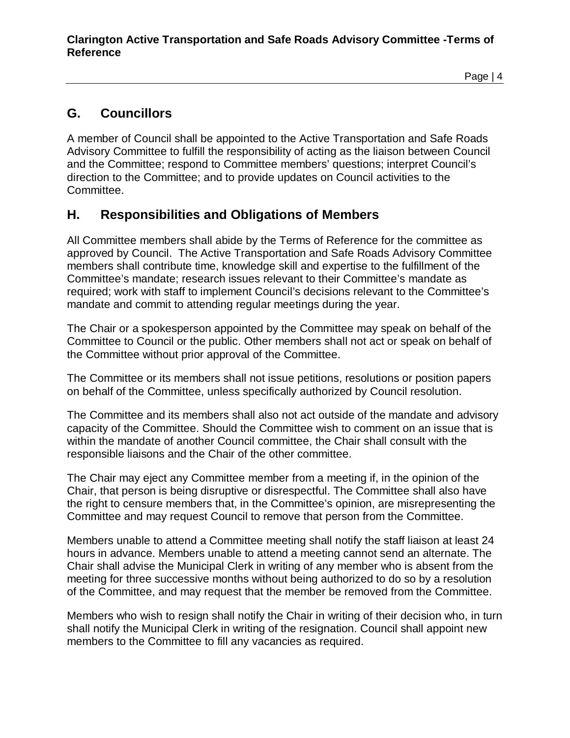#### Page | 4

## **G. Councillors**

A member of Council shall be appointed to the Active Transportation and Safe Roads Advisory Committee to fulfill the responsibility of acting as the liaison between Council and the Committee; respond to Committee members' questions; interpret Council's direction to the Committee; and to provide updates on Council activities to the Committee.

#### **H. Responsibilities and Obligations of Members**

All Committee members shall abide by the Terms of Reference for the committee as approved by Council. The Active Transportation and Safe Roads Advisory Committee members shall contribute time, knowledge skill and expertise to the fulfillment of the Committee's mandate; research issues relevant to their Committee's mandate as required; work with staff to implement Council's decisions relevant to the Committee's mandate and commit to attending regular meetings during the year.

The Chair or a spokesperson appointed by the Committee may speak on behalf of the Committee to Council or the public. Other members shall not act or speak on behalf of the Committee without prior approval of the Committee.

The Committee or its members shall not issue petitions, resolutions or position papers on behalf of the Committee, unless specifically authorized by Council resolution.

The Committee and its members shall also not act outside of the mandate and advisory capacity of the Committee. Should the Committee wish to comment on an issue that is within the mandate of another Council committee, the Chair shall consult with the responsible liaisons and the Chair of the other committee.

The Chair may eject any Committee member from a meeting if, in the opinion of the Chair, that person is being disruptive or disrespectful. The Committee shall also have the right to censure members that, in the Committee's opinion, are misrepresenting the Committee and may request Council to remove that person from the Committee.

Members unable to attend a Committee meeting shall notify the staff liaison at least 24 hours in advance. Members unable to attend a meeting cannot send an alternate. The Chair shall advise the Municipal Clerk in writing of any member who is absent from the meeting for three successive months without being authorized to do so by a resolution of the Committee, and may request that the member be removed from the Committee.

Members who wish to resign shall notify the Chair in writing of their decision who, in turn shall notify the Municipal Clerk in writing of the resignation. Council shall appoint new members to the Committee to fill any vacancies as required.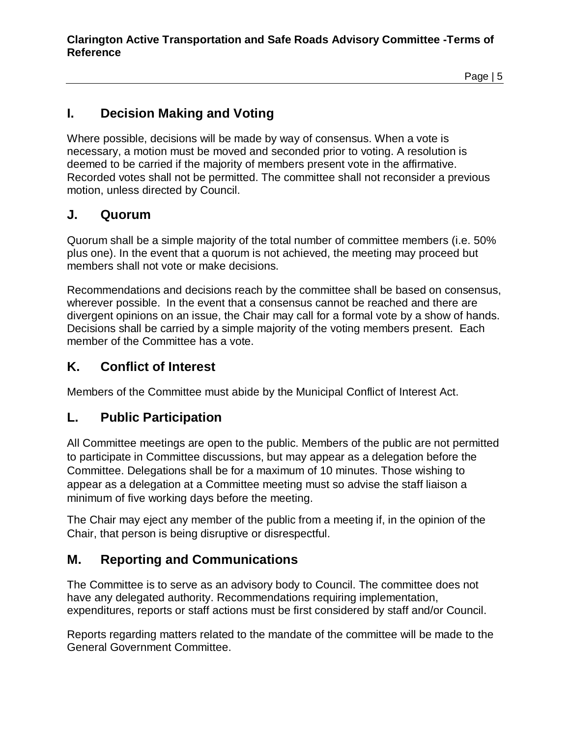## **I. Decision Making and Voting**

Where possible, decisions will be made by way of consensus. When a vote is necessary, a motion must be moved and seconded prior to voting. A resolution is deemed to be carried if the majority of members present vote in the affirmative. Recorded votes shall not be permitted. The committee shall not reconsider a previous motion, unless directed by Council.

#### **J. Quorum**

Quorum shall be a simple majority of the total number of committee members (i.e. 50% plus one). In the event that a quorum is not achieved, the meeting may proceed but members shall not vote or make decisions.

Recommendations and decisions reach by the committee shall be based on consensus, wherever possible. In the event that a consensus cannot be reached and there are divergent opinions on an issue, the Chair may call for a formal vote by a show of hands. Decisions shall be carried by a simple majority of the voting members present. Each member of the Committee has a vote.

#### **K. Conflict of Interest**

Members of the Committee must abide by the Municipal Conflict of Interest Act.

#### **L. Public Participation**

All Committee meetings are open to the public. Members of the public are not permitted to participate in Committee discussions, but may appear as a delegation before the Committee. Delegations shall be for a maximum of 10 minutes. Those wishing to appear as a delegation at a Committee meeting must so advise the staff liaison a minimum of five working days before the meeting.

The Chair may eject any member of the public from a meeting if, in the opinion of the Chair, that person is being disruptive or disrespectful.

## **M. Reporting and Communications**

The Committee is to serve as an advisory body to Council. The committee does not have any delegated authority. Recommendations requiring implementation, expenditures, reports or staff actions must be first considered by staff and/or Council.

Reports regarding matters related to the mandate of the committee will be made to the General Government Committee.